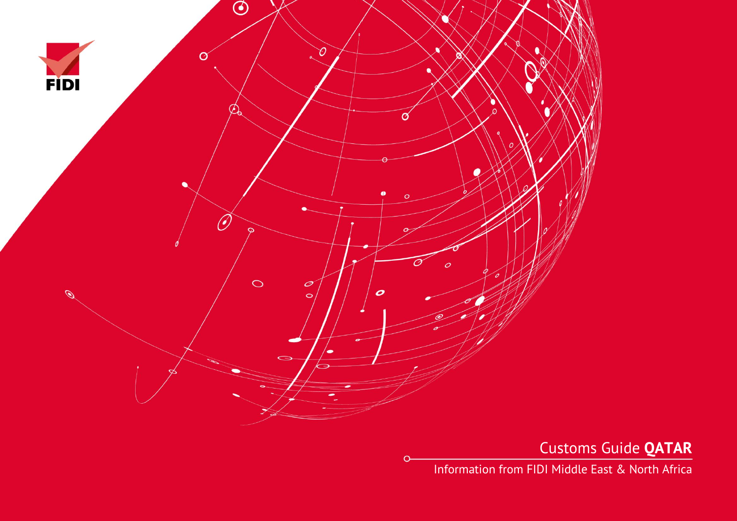

 $\Omega$ 

Customs Guide **QATAR**

Information from FIDI Middle East & North Africa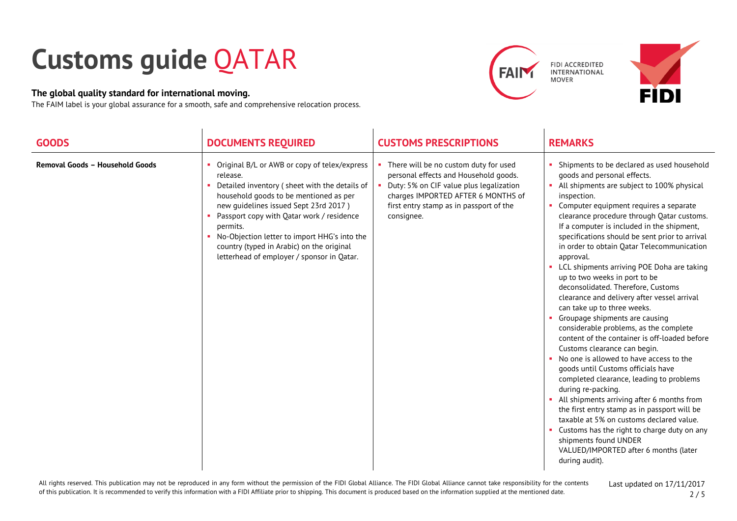## **Customs guide** QATAR

## **The global quality standard for international moving.**

The FAIM label is your global assurance for a smooth, safe and comprehensive relocation process.







| <b>GOODS</b>                    | <b>DOCUMENTS REQUIRED</b>                                                                                                                                                                                                                                                                                                                                                                        | <b>CUSTOMS PRESCRIPTIONS</b>                                                                                                                                                                                             | <b>REMARKS</b>                                                                                                                                                                                                                                                                                                                                                                                                                                                                                                                                                                                                                                                                                                                                                                                                                                                                                                                                                                                                                                                                                                                                                                                                  |
|---------------------------------|--------------------------------------------------------------------------------------------------------------------------------------------------------------------------------------------------------------------------------------------------------------------------------------------------------------------------------------------------------------------------------------------------|--------------------------------------------------------------------------------------------------------------------------------------------------------------------------------------------------------------------------|-----------------------------------------------------------------------------------------------------------------------------------------------------------------------------------------------------------------------------------------------------------------------------------------------------------------------------------------------------------------------------------------------------------------------------------------------------------------------------------------------------------------------------------------------------------------------------------------------------------------------------------------------------------------------------------------------------------------------------------------------------------------------------------------------------------------------------------------------------------------------------------------------------------------------------------------------------------------------------------------------------------------------------------------------------------------------------------------------------------------------------------------------------------------------------------------------------------------|
| Removal Goods - Household Goods | Original B/L or AWB or copy of telex/express<br>release.<br>Detailed inventory (sheet with the details of<br>household goods to be mentioned as per<br>new guidelines issued Sept 23rd 2017)<br>Passport copy with Qatar work / residence<br>permits.<br>No-Objection letter to import HHG's into the<br>country (typed in Arabic) on the original<br>letterhead of employer / sponsor in Qatar. | There will be no custom duty for used<br>personal effects and Household goods.<br>Duty: 5% on CIF value plus legalization<br>charges IMPORTED AFTER 6 MONTHS of<br>first entry stamp as in passport of the<br>consignee. | Shipments to be declared as used household<br>goods and personal effects.<br>• All shipments are subject to 100% physical<br>inspection.<br>Computer equipment requires a separate<br>×.<br>clearance procedure through Qatar customs.<br>If a computer is included in the shipment,<br>specifications should be sent prior to arrival<br>in order to obtain Qatar Telecommunication<br>approval.<br>• LCL shipments arriving POE Doha are taking<br>up to two weeks in port to be<br>deconsolidated. Therefore, Customs<br>clearance and delivery after vessel arrival<br>can take up to three weeks.<br>Groupage shipments are causing<br>considerable problems, as the complete<br>content of the container is off-loaded before<br>Customs clearance can begin.<br>No one is allowed to have access to the<br>m.<br>goods until Customs officials have<br>completed clearance, leading to problems<br>during re-packing.<br>All shipments arriving after 6 months from<br>ж.<br>the first entry stamp as in passport will be<br>taxable at 5% on customs declared value.<br>Customs has the right to charge duty on any<br>shipments found UNDER<br>VALUED/IMPORTED after 6 months (later<br>during audit). |

All rights reserved. This publication may not be reproduced in any form without the permission of the FIDI Global Alliance. The FIDI Global Alliance cannot take responsibility for the contents of this publication. It is recommended to verify this information with a FIDI Affiliate prior to shipping. This document is produced based on the information supplied at the mentioned date.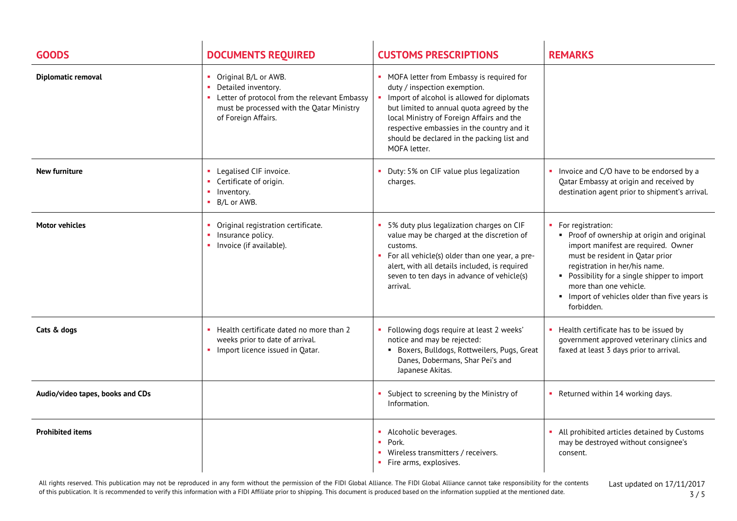| <b>GOODS</b>                     | <b>DOCUMENTS REQUIRED</b>                                                                                                                                         | <b>CUSTOMS PRESCRIPTIONS</b>                                                                                                                                                                                                                                                                                                   | <b>REMARKS</b>                                                                                                                                                                                                                                                                                                       |
|----------------------------------|-------------------------------------------------------------------------------------------------------------------------------------------------------------------|--------------------------------------------------------------------------------------------------------------------------------------------------------------------------------------------------------------------------------------------------------------------------------------------------------------------------------|----------------------------------------------------------------------------------------------------------------------------------------------------------------------------------------------------------------------------------------------------------------------------------------------------------------------|
| Diplomatic removal               | Original B/L or AWB.<br>Detailed inventory.<br>• Letter of protocol from the relevant Embassy<br>must be processed with the Qatar Ministry<br>of Foreign Affairs. | • MOFA letter from Embassy is required for<br>duty / inspection exemption.<br>Import of alcohol is allowed for diplomats<br>but limited to annual quota agreed by the<br>local Ministry of Foreign Affairs and the<br>respective embassies in the country and it<br>should be declared in the packing list and<br>MOFA letter. |                                                                                                                                                                                                                                                                                                                      |
| New furniture                    | Legalised CIF invoice.<br>Certificate of origin.<br>Inventory.<br>×.<br>• B/L or AWB.                                                                             | Duty: 5% on CIF value plus legalization<br>charges.                                                                                                                                                                                                                                                                            | Invoice and C/O have to be endorsed by a<br>Qatar Embassy at origin and received by<br>destination agent prior to shipment's arrival.                                                                                                                                                                                |
| <b>Motor vehicles</b>            | Original registration certificate.<br>Insurance policy.<br>• Invoice (if available).                                                                              | 5% duty plus legalization charges on CIF<br>value may be charged at the discretion of<br>customs.<br>For all vehicle(s) older than one year, a pre-<br>alert, with all details included, is required<br>seven to ten days in advance of vehicle(s)<br>arrival.                                                                 | • For registration:<br>• Proof of ownership at origin and original<br>import manifest are required. Owner<br>must be resident in Qatar prior<br>registration in her/his name.<br>• Possibility for a single shipper to import<br>more than one vehicle.<br>Import of vehicles older than five years is<br>forbidden. |
| Cats & dogs                      | Health certificate dated no more than 2<br>weeks prior to date of arrival.<br>• Import licence issued in Qatar.                                                   | • Following dogs require at least 2 weeks'<br>notice and may be rejected:<br>• Boxers, Bulldogs, Rottweilers, Pugs, Great<br>Danes, Dobermans, Shar Pei's and<br>Japanese Akitas.                                                                                                                                              | • Health certificate has to be issued by<br>government approved veterinary clinics and<br>faxed at least 3 days prior to arrival.                                                                                                                                                                                    |
| Audio/video tapes, books and CDs |                                                                                                                                                                   | Subject to screening by the Ministry of<br>Information.                                                                                                                                                                                                                                                                        | • Returned within 14 working days.                                                                                                                                                                                                                                                                                   |
| <b>Prohibited items</b>          |                                                                                                                                                                   | Alcoholic beverages.<br>• Pork.<br>• Wireless transmitters / receivers.<br>• Fire arms, explosives.                                                                                                                                                                                                                            | All prohibited articles detained by Customs<br>may be destroyed without consignee's<br>consent.                                                                                                                                                                                                                      |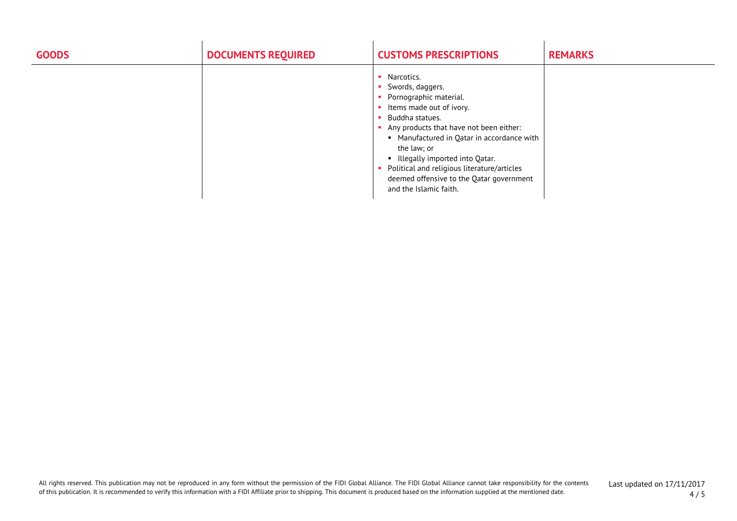| <b>GOODS</b> | <b>DOCUMENTS REQUIRED</b> | <b>CUSTOMS PRESCRIPTIONS</b>                                                                                                                                                                                                                                                                                                                                             | <b>REMARKS</b> |
|--------------|---------------------------|--------------------------------------------------------------------------------------------------------------------------------------------------------------------------------------------------------------------------------------------------------------------------------------------------------------------------------------------------------------------------|----------------|
|              |                           | Narcotics.<br>Swords, daggers.<br>Pornographic material.<br>Items made out of ivory.<br>Buddha statues.<br>Any products that have not been either:<br>• Manufactured in Qatar in accordance with<br>the law; or<br>• Illegally imported into Qatar.<br>Political and religious literature/articles<br>deemed offensive to the Qatar government<br>and the Islamic faith. |                |